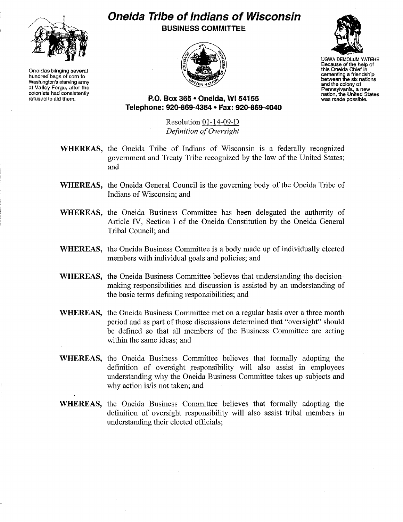

Oneidas bringing several hundred bags of corn to Washington's starving army at Valley Forge, after the oolonists had consistently refused to aid them.

## **Oneida Tribe ofIndians of Wisconsin BUSINESS COMMITTEE**



UGWA DEMOLUM YATEHE Because of the help of this Oneida Chief in oementing a friendshIp between the six nations and the colony of Pennsylvania, a new nation, the United States was made possible.

**P.O. Box 365· Oneida,** WI 54155 **Telephone:** 920~869~4364. **Fax:** 920~869-4040

> Resolution 0l-14-09-D *Definition of Oversight*

- WHEREAS, the Oneida Tribe of Indians of Wisconsin is a federally recognized government and Treaty Tribe recognized by the law of the United States; and
- WHEREAS, the Oneida General Council is the governing body of the Oneida Tribe of Indians of Wisconsin; and
- WHEREAS, the Oneida Business Committee has been delegated the authority of Article IV, Section I of the Oneida Constitution by the Oneida General Tribal Council; and
- WHEREAS, the Oneida Business Committee is a body made up of individually elected members with individual goals and policies; and
- WHEREAS, the Oneida Business Committee believes that understanding the decisionmaking responsibilities and discussion is assisted by an understanding of the basic terms defining responsibilities; and
- WHEREAS, the Oneida Business Committee met on a regular basis over a three month period and as part of those discussions determined that "oversight" should be defined so that all members of the Business Committee are acting within the same ideas; and
- WHEREAS, the Oneida Business Committee believes that formally adopting the definition of oversight responsibility will also assist in employees understanding why the Oneida Business Committee takes up subjects and why action is/is not taken; and
- WHEREAS, the Oneida Business Committee believes that formally adopting the definition of oversight responsibility will also assist tribal members in understanding their elected officials;